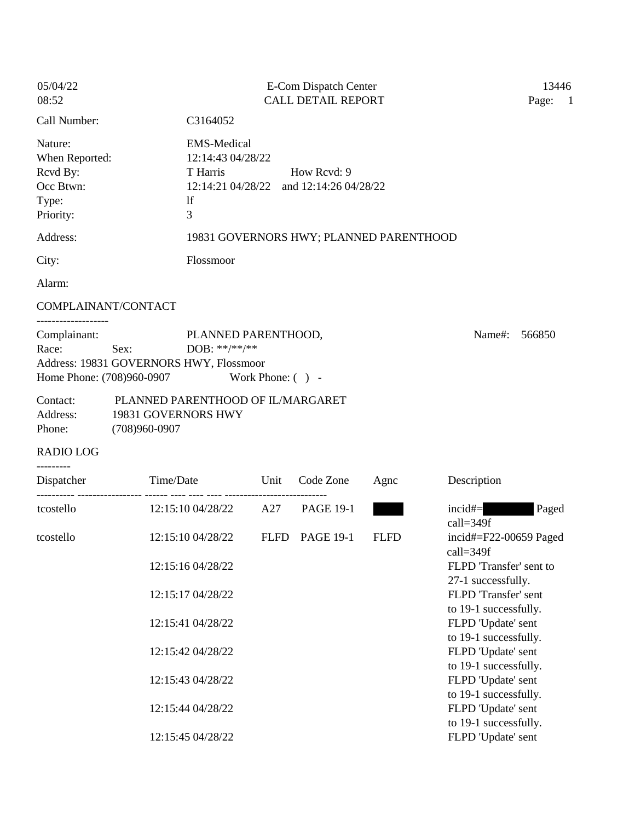| 05/04/22<br>08:52                                                        |                                                                               | E-Com Dispatch Center<br><b>CALL DETAIL REPORT</b>                                             |                  |             |                                                                       |                                   |  |
|--------------------------------------------------------------------------|-------------------------------------------------------------------------------|------------------------------------------------------------------------------------------------|------------------|-------------|-----------------------------------------------------------------------|-----------------------------------|--|
| Call Number:                                                             |                                                                               | C3164052                                                                                       |                  |             |                                                                       | Page:<br>$\overline{\phantom{0}}$ |  |
| Nature:<br>When Reported:<br>Rcvd By:<br>Occ Btwn:<br>Type:<br>Priority: | <sup>1f</sup><br>3                                                            | <b>EMS-Medical</b><br>12:14:43 04/28/22<br>T Harris<br>12:14:21 04/28/22 and 12:14:26 04/28/22 | How Revd: 9      |             |                                                                       |                                   |  |
| Address:                                                                 |                                                                               | 19831 GOVERNORS HWY; PLANNED PARENTHOOD                                                        |                  |             |                                                                       |                                   |  |
| City:                                                                    |                                                                               | Flossmoor                                                                                      |                  |             |                                                                       |                                   |  |
| Alarm:                                                                   |                                                                               |                                                                                                |                  |             |                                                                       |                                   |  |
| COMPLAINANT/CONTACT                                                      |                                                                               |                                                                                                |                  |             |                                                                       |                                   |  |
| Complainant:<br>Race:<br>Home Phone: (708)960-0907                       | Sex:<br>Address: 19831 GOVERNORS HWY, Flossmoor                               | PLANNED PARENTHOOD,<br>DOB: **/**/**<br>Work Phone: $( )$ -                                    |                  |             | Name#:                                                                | 566850                            |  |
| Contact:<br>Address:<br>Phone:                                           | PLANNED PARENTHOOD OF IL/MARGARET<br>19831 GOVERNORS HWY<br>$(708)960 - 0907$ |                                                                                                |                  |             |                                                                       |                                   |  |
| <b>RADIO LOG</b>                                                         |                                                                               |                                                                                                |                  |             |                                                                       |                                   |  |
| ---------<br>Dispatcher                                                  | Time/Date                                                                     | Unit                                                                                           | Code Zone        | Agne        | Description                                                           |                                   |  |
| tcostello                                                                |                                                                               | 12:15:10 04/28/22 A27                                                                          | <b>PAGE 19-1</b> |             | $incid\#=$<br>$call=349f$                                             | Paged                             |  |
| tcostello                                                                | 12:15:10 04/28/22                                                             | <b>FLFD</b>                                                                                    | <b>PAGE 19-1</b> | <b>FLFD</b> | incid# $=F22-00659$ Paged<br>call=349f                                |                                   |  |
|                                                                          | 12:15:16 04/28/22<br>12:15:17 04/28/22                                        |                                                                                                |                  |             | FLPD 'Transfer' sent to<br>27-1 successfully.<br>FLPD 'Transfer' sent |                                   |  |
|                                                                          | 12:15:41 04/28/22                                                             |                                                                                                |                  |             | to 19-1 successfully.<br>FLPD 'Update' sent<br>to 19-1 successfully.  |                                   |  |
|                                                                          | 12:15:42 04/28/22                                                             |                                                                                                |                  |             | FLPD 'Update' sent<br>to 19-1 successfully.                           |                                   |  |
|                                                                          | 12:15:43 04/28/22                                                             |                                                                                                |                  |             | FLPD 'Update' sent<br>to 19-1 successfully.                           |                                   |  |
|                                                                          | 12:15:44 04/28/22<br>12:15:45 04/28/22                                        |                                                                                                |                  |             | FLPD 'Update' sent<br>to 19-1 successfully.                           |                                   |  |
|                                                                          |                                                                               |                                                                                                |                  |             | FLPD 'Update' sent                                                    |                                   |  |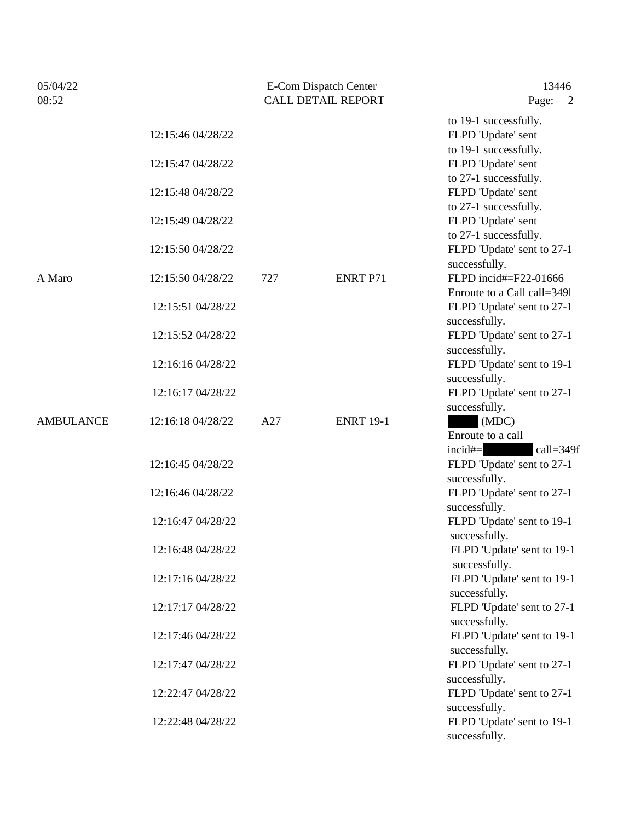| 05/04/22         |                                        | <b>E-Com Dispatch Center</b> |                  | 13446                                                                     |  |
|------------------|----------------------------------------|------------------------------|------------------|---------------------------------------------------------------------------|--|
| 08:52            |                                        | <b>CALL DETAIL REPORT</b>    |                  | Page:<br>2                                                                |  |
|                  | 12:15:46 04/28/22                      |                              |                  | to 19-1 successfully.<br>FLPD 'Update' sent                               |  |
|                  | 12:15:47 04/28/22                      |                              |                  | to 19-1 successfully.<br>FLPD 'Update' sent                               |  |
|                  | 12:15:48 04/28/22                      |                              |                  | to 27-1 successfully.<br>FLPD 'Update' sent<br>to 27-1 successfully.      |  |
|                  | 12:15:49 04/28/22                      |                              |                  | FLPD 'Update' sent<br>to 27-1 successfully.                               |  |
|                  | 12:15:50 04/28/22                      |                              |                  | FLPD 'Update' sent to 27-1<br>successfully.                               |  |
| A Maro           | 12:15:50 04/28/22                      | 727                          | <b>ENRT P71</b>  | FLPD incid#=F22-01666<br>Enroute to a Call call=3491                      |  |
|                  | 12:15:51 04/28/22                      |                              |                  | FLPD 'Update' sent to 27-1<br>successfully.                               |  |
|                  | 12:15:52 04/28/22                      |                              |                  | FLPD 'Update' sent to 27-1<br>successfully.                               |  |
|                  | 12:16:16 04/28/22                      |                              |                  | FLPD 'Update' sent to 19-1<br>successfully.                               |  |
|                  | 12:16:17 04/28/22                      |                              |                  | FLPD 'Update' sent to 27-1<br>successfully.                               |  |
| <b>AMBULANCE</b> | 12:16:18 04/28/22                      | A27                          | <b>ENRT 19-1</b> | (MDC)<br>Enroute to a call<br>incid#=<br>call=349f                        |  |
|                  | 12:16:45 04/28/22                      |                              |                  | FLPD 'Update' sent to 27-1<br>successfully.                               |  |
|                  | 12:16:46 04/28/22                      |                              |                  | FLPD 'Update' sent to 27-1<br>successfully.                               |  |
|                  | 12:16:47 04/28/22                      |                              |                  | FLPD 'Update' sent to 19-1<br>successfully.                               |  |
|                  | 12:16:48 04/28/22                      |                              |                  | FLPD 'Update' sent to 19-1<br>successfully.                               |  |
|                  | 12:17:16 04/28/22                      |                              |                  | FLPD 'Update' sent to 19-1<br>successfully.                               |  |
|                  | 12:17:17 04/28/22                      |                              |                  | FLPD 'Update' sent to 27-1<br>successfully.                               |  |
|                  | 12:17:46 04/28/22<br>12:17:47 04/28/22 |                              |                  | FLPD 'Update' sent to 19-1<br>successfully.                               |  |
|                  | 12:22:47 04/28/22                      |                              |                  | FLPD 'Update' sent to 27-1<br>successfully.<br>FLPD 'Update' sent to 27-1 |  |
|                  | 12:22:48 04/28/22                      |                              |                  | successfully.<br>FLPD 'Update' sent to 19-1                               |  |
|                  |                                        |                              |                  | successfully.                                                             |  |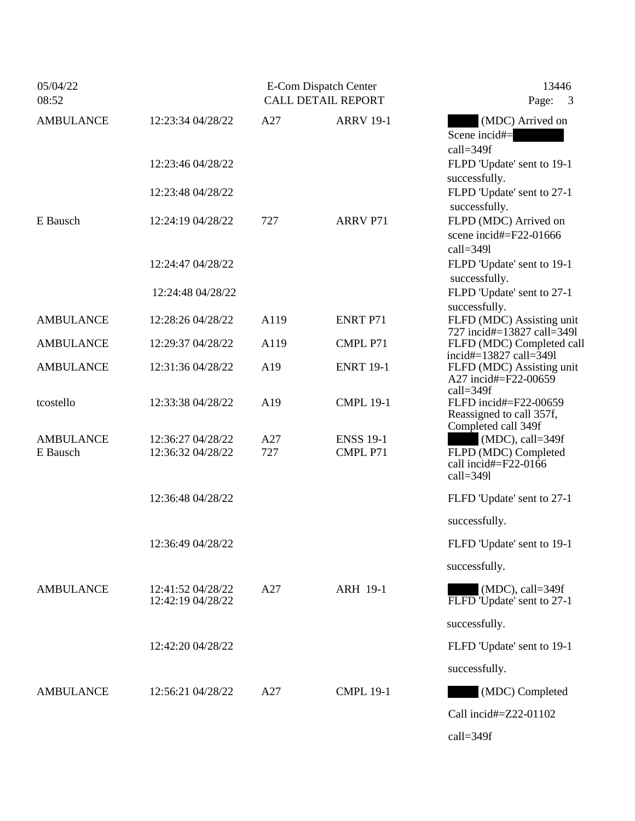| 05/04/22<br>08:52            |                                        |            | E-Com Dispatch Center<br><b>CALL DETAIL REPORT</b> | 13446<br>Page:<br>3                                                                |  |
|------------------------------|----------------------------------------|------------|----------------------------------------------------|------------------------------------------------------------------------------------|--|
| <b>AMBULANCE</b>             | 12:23:34 04/28/22                      | A27        | <b>ARRV 19-1</b>                                   | (MDC) Arrived on<br>Scene incid#=<br>call=349f                                     |  |
|                              | 12:23:46 04/28/22                      |            |                                                    | FLPD 'Update' sent to 19-1<br>successfully.                                        |  |
|                              | 12:23:48 04/28/22                      |            |                                                    | FLPD 'Update' sent to 27-1<br>successfully.                                        |  |
| E Bausch                     | 12:24:19 04/28/22                      | 727        | <b>ARRV P71</b>                                    | FLPD (MDC) Arrived on<br>scene incid#=F22-01666<br>$call=3491$                     |  |
|                              | 12:24:47 04/28/22                      |            |                                                    | FLPD 'Update' sent to 19-1<br>successfully.                                        |  |
|                              | 12:24:48 04/28/22                      |            |                                                    | FLPD 'Update' sent to 27-1<br>successfully.                                        |  |
| <b>AMBULANCE</b>             | 12:28:26 04/28/22                      | A119       | <b>ENRT P71</b>                                    | FLFD (MDC) Assisting unit<br>727 incid#=13827 call=3491                            |  |
| <b>AMBULANCE</b>             | 12:29:37 04/28/22                      | A119       | CMPL P71                                           | FLFD (MDC) Completed call<br>incid#=13827 call= $\bar{3}491$                       |  |
| <b>AMBULANCE</b>             | 12:31:36 04/28/22                      | A19        | <b>ENRT 19-1</b>                                   | FLFD (MDC) Assisting unit<br>A27 incid#=F22-00659<br>$call=349f$                   |  |
| tcostello                    | 12:33:38 04/28/22                      | A19        | <b>CMPL 19-1</b>                                   | FLFD incid#=F22-00659<br>Reassigned to call 357f,<br>Completed call 349f           |  |
| <b>AMBULANCE</b><br>E Bausch | 12:36:27 04/28/22<br>12:36:32 04/28/22 | A27<br>727 | <b>ENSS 19-1</b><br>CMPL P71                       | $(MDC)$ , call=349f<br>FLPD (MDC) Completed<br>call incid#=F22-0166<br>$call=3491$ |  |
|                              | 12:36:48 04/28/22                      |            |                                                    | FLFD 'Update' sent to 27-1                                                         |  |
|                              |                                        |            |                                                    | successfully.                                                                      |  |
|                              | 12:36:49 04/28/22                      |            |                                                    | FLFD 'Update' sent to 19-1                                                         |  |
|                              |                                        |            |                                                    | successfully.                                                                      |  |
| <b>AMBULANCE</b>             | 12:41:52 04/28/22<br>12:42:19 04/28/22 | A27        | <b>ARH 19-1</b>                                    | $(MDC)$ , call=349f<br>FLFD 'Update' sent to 27-1                                  |  |
|                              |                                        |            |                                                    | successfully.                                                                      |  |
|                              | 12:42:20 04/28/22                      |            |                                                    | FLFD 'Update' sent to 19-1                                                         |  |
|                              |                                        |            |                                                    | successfully.                                                                      |  |
| <b>AMBULANCE</b>             | 12:56:21 04/28/22                      | A27        | <b>CMPL 19-1</b>                                   | (MDC) Completed                                                                    |  |
|                              |                                        |            |                                                    | Call incid#=Z22-01102                                                              |  |
|                              |                                        |            |                                                    | call=349f                                                                          |  |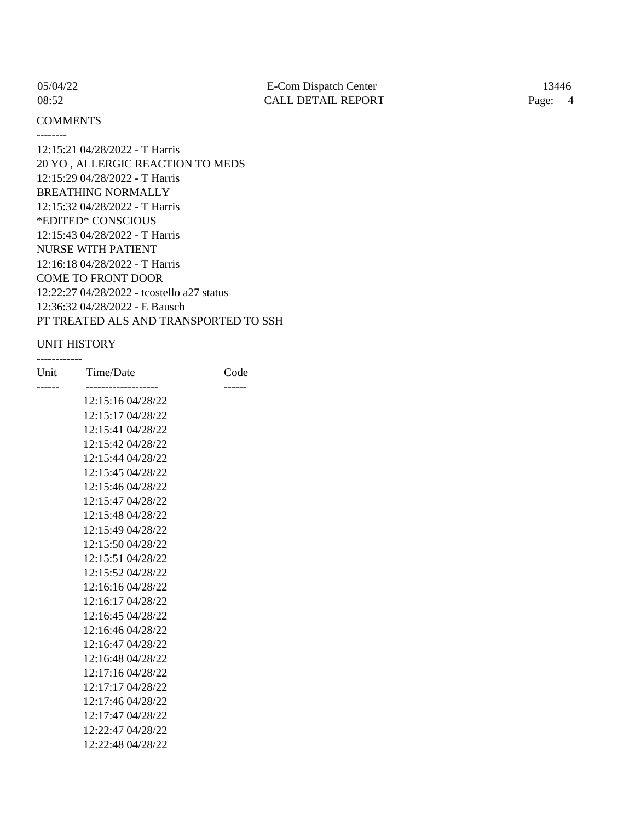--------

# **COMMENTS**

12:15:21 04/28/2022 - T Harris 20 YO , ALLERGIC REACTION TO MEDS 12:15:29 04/28/2022 - T Harris BREATHING NORMALLY 12:15:32 04/28/2022 - T Harris \*EDITED\* CONSCIOUS 12:15:43 04/28/2022 - T Harris NURSE WITH PATIENT 12:16:18 04/28/2022 - T Harris COME TO FRONT DOOR 12:22:27 04/28/2022 - tcostello a27 status 12:36:32 04/28/2022 - E Bausch PT TREATED ALS AND TRANSPORTED TO SSH

## UNIT HISTORY

------------

| Code |  |
|------|--|
|      |  |
|      |  |
|      |  |
|      |  |
|      |  |
|      |  |
|      |  |
|      |  |
|      |  |
|      |  |
|      |  |
|      |  |
|      |  |
|      |  |
|      |  |
|      |  |
|      |  |
|      |  |
|      |  |
|      |  |
|      |  |
|      |  |
|      |  |
|      |  |
|      |  |
|      |  |